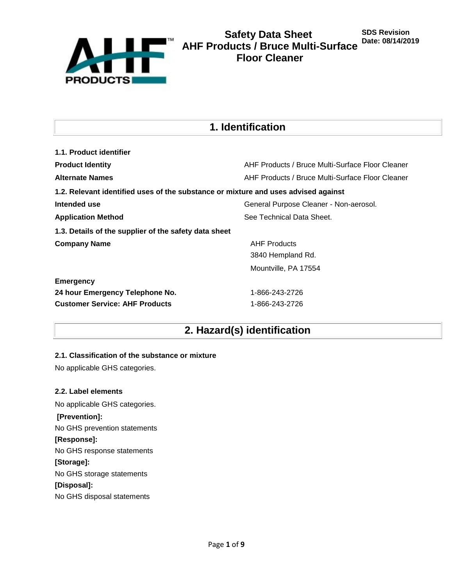

# **1. Identification**

| 1.1. Product identifier                                                            |                                                  |
|------------------------------------------------------------------------------------|--------------------------------------------------|
| <b>Product Identity</b>                                                            | AHF Products / Bruce Multi-Surface Floor Cleaner |
| <b>Alternate Names</b>                                                             | AHF Products / Bruce Multi-Surface Floor Cleaner |
| 1.2. Relevant identified uses of the substance or mixture and uses advised against |                                                  |
| Intended use                                                                       | General Purpose Cleaner - Non-aerosol.           |
| <b>Application Method</b>                                                          | See Technical Data Sheet.                        |
| 1.3. Details of the supplier of the safety data sheet                              |                                                  |
| <b>Company Name</b>                                                                | <b>AHF Products</b>                              |
|                                                                                    | 3840 Hempland Rd.                                |
|                                                                                    | Mountville, PA 17554                             |
| <b>Emergency</b>                                                                   |                                                  |
| 24 hour Emergency Telephone No.                                                    | 1-866-243-2726                                   |
| <b>Customer Service: AHF Products</b>                                              | 1-866-243-2726                                   |

# **2. Hazard(s) identification**

## **2.1. Classification of the substance or mixture**

No applicable GHS categories.

## **2.2. Label elements**

No applicable GHS categories. **[Prevention]:**  No GHS prevention statements **[Response]:**  No GHS response statements **[Storage]:**  No GHS storage statements **[Disposal]:**  No GHS disposal statements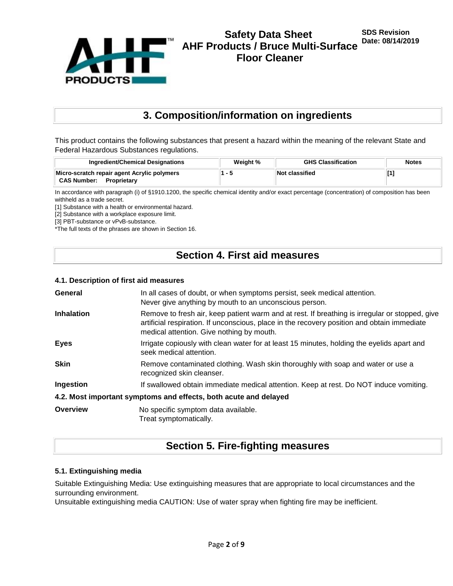

# **3. Composition/information on ingredients**

This product contains the following substances that present a hazard within the meaning of the relevant State and Federal Hazardous Substances regulations.

| Ingredient/Chemical Designations            | Weight % | <b>GHS Classification</b> | <b>Notes</b> |
|---------------------------------------------|----------|---------------------------|--------------|
| Micro-scratch repair agent Acrylic polymers |          | Not classified            |              |
| <b>CAS Number:</b><br>Proprietary           |          |                           |              |

In accordance with paragraph (i) of §1910.1200, the specific chemical identity and/or exact percentage (concentration) of composition has been withheld as a trade secret.

[1] Substance with a health or environmental hazard.

[2] Substance with a workplace exposure limit.

[3] PBT-substance or vPvB-substance.

\*The full texts of the phrases are shown in Section 16.

# **Section 4. First aid measures**

#### **4.1. Description of first aid measures**

| General           | In all cases of doubt, or when symptoms persist, seek medical attention.<br>Never give anything by mouth to an unconscious person.                                                                                                         |
|-------------------|--------------------------------------------------------------------------------------------------------------------------------------------------------------------------------------------------------------------------------------------|
| <b>Inhalation</b> | Remove to fresh air, keep patient warm and at rest. If breathing is irregular or stopped, give<br>artificial respiration. If unconscious, place in the recovery position and obtain immediate<br>medical attention. Give nothing by mouth. |
| <b>Eyes</b>       | Irrigate copiously with clean water for at least 15 minutes, holding the eyelids apart and<br>seek medical attention.                                                                                                                      |
| <b>Skin</b>       | Remove contaminated clothing. Wash skin thoroughly with soap and water or use a<br>recognized skin cleanser.                                                                                                                               |
| Ingestion         | If swallowed obtain immediate medical attention. Keep at rest. Do NOT induce vomiting.                                                                                                                                                     |
|                   | 4.2. Most important symptoms and effects, both acute and delayed                                                                                                                                                                           |
| Overview          | No specific symptom data available.<br>Treat symptomatically.                                                                                                                                                                              |

# **Section 5. Fire-fighting measures**

#### **5.1. Extinguishing media**

Suitable Extinguishing Media: Use extinguishing measures that are appropriate to local circumstances and the surrounding environment.

Unsuitable extinguishing media CAUTION: Use of water spray when fighting fire may be inefficient.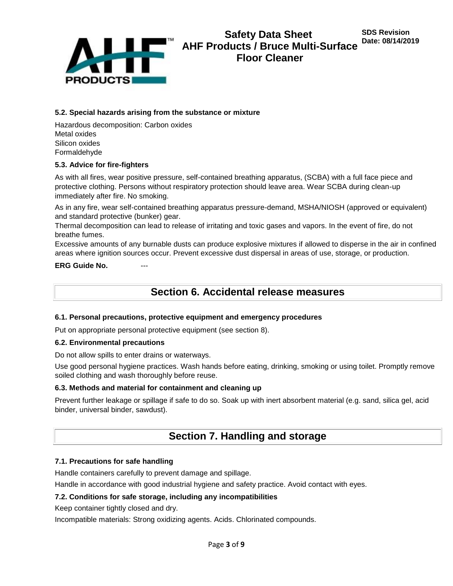

### **5.2. Special hazards arising from the substance or mixture**

Hazardous decomposition: Carbon oxides Metal oxides Silicon oxides Formaldehyde

### **5.3. Advice for fire-fighters**

As with all fires, wear positive pressure, self-contained breathing apparatus, (SCBA) with a full face piece and protective clothing. Persons without respiratory protection should leave area. Wear SCBA during clean-up immediately after fire. No smoking.

As in any fire, wear self-contained breathing apparatus pressure-demand, MSHA/NIOSH (approved or equivalent) and standard protective (bunker) gear.

Thermal decomposition can lead to release of irritating and toxic gases and vapors. In the event of fire, do not breathe fumes.

Excessive amounts of any burnable dusts can produce explosive mixtures if allowed to disperse in the air in confined areas where ignition sources occur. Prevent excessive dust dispersal in areas of use, storage, or production.

**ERG Guide No.** 

# **Section 6. Accidental release measures**

#### **6.1. Personal precautions, protective equipment and emergency procedures**

Put on appropriate personal protective equipment (see section 8).

#### **6.2. Environmental precautions**

Do not allow spills to enter drains or waterways.

Use good personal hygiene practices. Wash hands before eating, drinking, smoking or using toilet. Promptly remove soiled clothing and wash thoroughly before reuse.

#### **6.3. Methods and material for containment and cleaning up**

Prevent further leakage or spillage if safe to do so. Soak up with inert absorbent material (e.g. sand, silica gel, acid binder, universal binder, sawdust).

# **Section 7. Handling and storage**

#### **7.1. Precautions for safe handling**

Handle containers carefully to prevent damage and spillage.

Handle in accordance with good industrial hygiene and safety practice. Avoid contact with eyes.

#### **7.2. Conditions for safe storage, including any incompatibilities**

Keep container tightly closed and dry.

Incompatible materials: Strong oxidizing agents. Acids. Chlorinated compounds.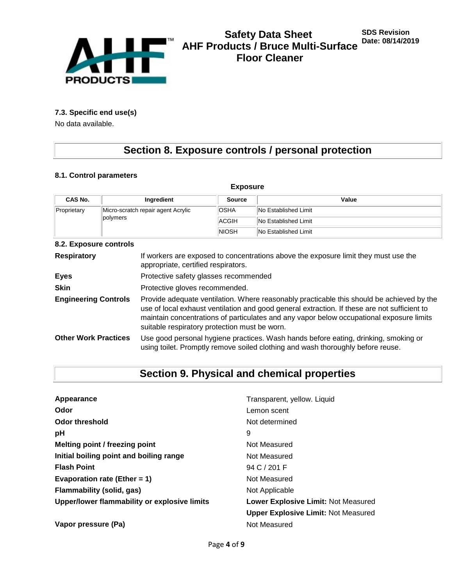

# **7.3. Specific end use(s)**

No data available.

# **Section 8. Exposure controls / personal protection**

# **8.1. Control parameters**

| <b>Exposure</b>                                               |             |                             |                      |  |  |
|---------------------------------------------------------------|-------------|-----------------------------|----------------------|--|--|
| CAS No.                                                       | Ingredient  | <b>Source</b>               | Value                |  |  |
| Micro-scratch repair agent Acrylic<br>Proprietary<br>polymers | <b>OSHA</b> | <b>No Established Limit</b> |                      |  |  |
|                                                               | ACGIH       | No Established Limit        |                      |  |  |
|                                                               |             | <b>NIOSH</b>                | No Established Limit |  |  |

#### **8.2. Exposure controls**

| <b>Respiratory</b>          | If workers are exposed to concentrations above the exposure limit they must use the<br>appropriate, certified respirators.                                                                                                                                                                                                             |
|-----------------------------|----------------------------------------------------------------------------------------------------------------------------------------------------------------------------------------------------------------------------------------------------------------------------------------------------------------------------------------|
| <b>Eyes</b>                 | Protective safety glasses recommended                                                                                                                                                                                                                                                                                                  |
| <b>Skin</b>                 | Protective gloves recommended.                                                                                                                                                                                                                                                                                                         |
| <b>Engineering Controls</b> | Provide adequate ventilation. Where reasonably practicable this should be achieved by the<br>use of local exhaust ventilation and good general extraction. If these are not sufficient to<br>maintain concentrations of particulates and any vapor below occupational exposure limits<br>suitable respiratory protection must be worn. |
| <b>Other Work Practices</b> | Use good personal hygiene practices. Wash hands before eating, drinking, smoking or<br>using toilet. Promptly remove soiled clothing and wash thoroughly before reuse.                                                                                                                                                                 |

# **Section 9. Physical and chemical properties**

| Appearance                                   | Transparent, yellow. Liquid                |
|----------------------------------------------|--------------------------------------------|
| Odor                                         | Lemon scent                                |
| Odor threshold                               | Not determined                             |
| рH                                           | 9                                          |
| Melting point / freezing point               | Not Measured                               |
| Initial boiling point and boiling range      | Not Measured                               |
| <b>Flash Point</b>                           | 94 C / 201 F                               |
| Evaporation rate (Ether = 1)                 | Not Measured                               |
| <b>Flammability (solid, gas)</b>             | Not Applicable                             |
| Upper/lower flammability or explosive limits | Lower Explosive Limit: Not Measured        |
|                                              | <b>Upper Explosive Limit: Not Measured</b> |
| Vapor pressure (Pa)                          | Not Measured                               |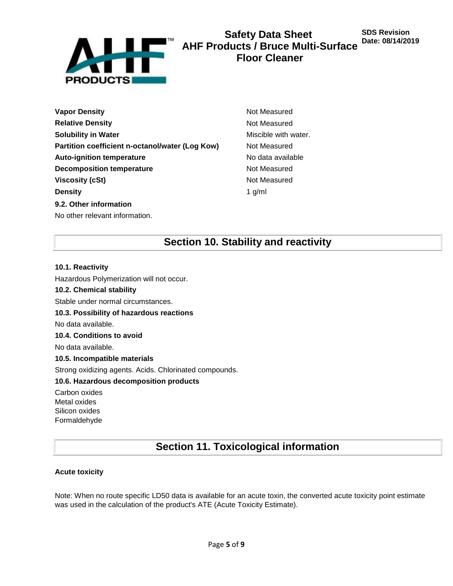

# **Safety Data Sheet AHF Products / Bruce Multi-Surface Floor Cleaner**

**SDS Revision Date: 08/14/2019**

- **Vapor Density Not Measured** Not Measured **Relative Density Not Measured Not Measured Solubility in Water** Miscible with water. **Partition coefficient n-octanol/water (Log Kow)** Not Measured **Auto-ignition temperature No data available No data available Decomposition temperature** Not Measured **Viscosity (cSt)** Not Measured **Density** 1 g/ml **9.2. Other information** No other relevant information.
- 

# **Section 10. Stability and reactivity**

## **10.1. Reactivity**

Hazardous Polymerization will not occur.

### **10.2. Chemical stability**

Stable under normal circumstances.

#### **10.3. Possibility of hazardous reactions**

No data available.

## **10.4. Conditions to avoid**

No data available.

## **10.5. Incompatible materials**

Strong oxidizing agents. Acids. Chlorinated compounds.

## **10.6. Hazardous decomposition products**

Carbon oxides Metal oxides Silicon oxides Formaldehyde

# **Section 11. Toxicological information**

## **Acute toxicity**

Note: When no route specific LD50 data is available for an acute toxin, the converted acute toxicity point estimate was used in the calculation of the product's ATE (Acute Toxicity Estimate).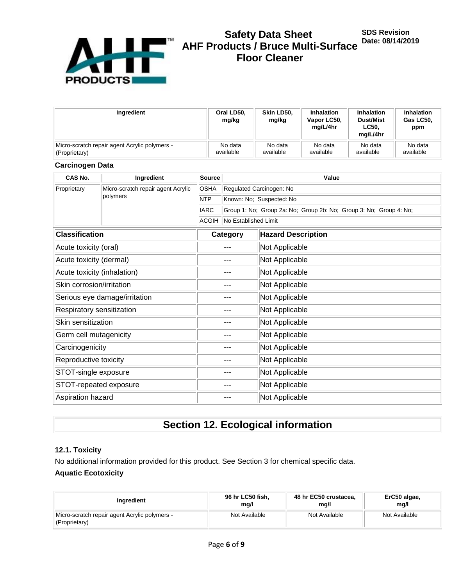

# **Safety Data Sheet AHF Products / Bruce Multi-Surface Floor Cleaner**

| Ingredient                                    | Oral LD50.<br>mg/kg | Skin LD50.<br>mg/kg | <b>Inhalation</b><br>Vapor LC50,<br>ma/L/4hr | <b>Inhalation</b><br><b>Dust/Mist</b><br><b>LC50.</b><br>ma/L/4hr | <b>Inhalation</b><br>Gas LC50.<br>ppm |
|-----------------------------------------------|---------------------|---------------------|----------------------------------------------|-------------------------------------------------------------------|---------------------------------------|
| Micro-scratch repair agent Acrylic polymers - | No data             | No data             | No data                                      | No data                                                           | No data                               |
| (Proprietary)                                 | available           | available           | available                                    | available                                                         | available                             |

# **Carcinogen Data**

| CAS No.                       | Ingredient                         | <b>Source</b> | Value                                                              |                           |  |  |
|-------------------------------|------------------------------------|---------------|--------------------------------------------------------------------|---------------------------|--|--|
| Proprietary                   | Micro-scratch repair agent Acrylic | <b>OSHA</b>   |                                                                    | Regulated Carcinogen: No  |  |  |
|                               | polymers                           | <b>NTP</b>    |                                                                    | Known: No; Suspected: No  |  |  |
|                               |                                    | <b>IARC</b>   | Group 1: No; Group 2a: No; Group 2b: No; Group 3: No; Group 4: No; |                           |  |  |
|                               |                                    | <b>ACGIH</b>  | No Established Limit                                               |                           |  |  |
| <b>Classification</b>         |                                    |               | Category                                                           | <b>Hazard Description</b> |  |  |
| Acute toxicity (oral)         |                                    |               | ---                                                                | Not Applicable            |  |  |
| Acute toxicity (dermal)       |                                    |               | ---                                                                | Not Applicable            |  |  |
| Acute toxicity (inhalation)   |                                    |               | ---                                                                | Not Applicable            |  |  |
| Skin corrosion/irritation     |                                    | ---           |                                                                    | Not Applicable            |  |  |
|                               | Serious eye damage/irritation      | ---           |                                                                    | Not Applicable            |  |  |
| Respiratory sensitization     |                                    |               | ---                                                                | Not Applicable            |  |  |
| Skin sensitization            |                                    |               | $--$                                                               | Not Applicable            |  |  |
| Germ cell mutagenicity        |                                    |               | ---                                                                | Not Applicable            |  |  |
| Carcinogenicity               |                                    | $---$         |                                                                    | Not Applicable            |  |  |
| Reproductive toxicity         |                                    | ---           |                                                                    | Not Applicable            |  |  |
| STOT-single exposure<br>---   |                                    |               | Not Applicable                                                     |                           |  |  |
| STOT-repeated exposure<br>--- |                                    |               | Not Applicable                                                     |                           |  |  |
| Aspiration hazard<br>---      |                                    |               | Not Applicable                                                     |                           |  |  |

# **Section 12. Ecological information**

### **12.1. Toxicity**

No additional information provided for this product. See Section 3 for chemical specific data.

# **Aquatic Ecotoxicity**

| Ingredient                                                         | 96 hr LC50 fish, | 48 hr EC50 crustacea, | ErC50 algae,  |
|--------------------------------------------------------------------|------------------|-----------------------|---------------|
|                                                                    | mg/l             | mg/l                  | mg/l          |
| Micro-scratch repair agent Acrylic polymers -<br>$ $ (Proprietary) | Not Available    | Not Available         | Not Available |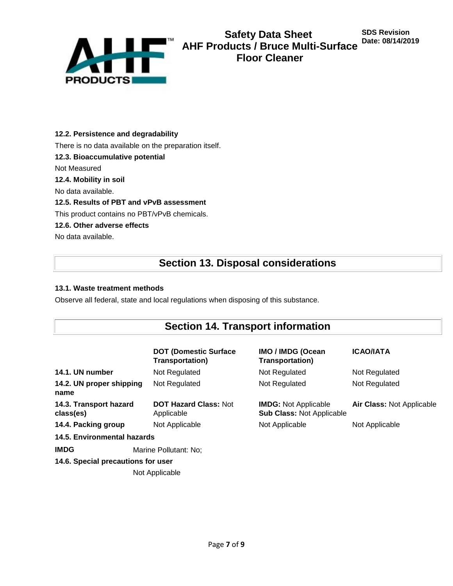

## **12.2. Persistence and degradability**

There is no data available on the preparation itself.

**12.3. Bioaccumulative potential**

Not Measured

### **12.4. Mobility in soil**

No data available.

### **12.5. Results of PBT and vPvB assessment**

This product contains no PBT/vPvB chemicals.

### **12.6. Other adverse effects**

No data available.

# **Section 13. Disposal considerations**

## **13.1. Waste treatment methods**

Observe all federal, state and local regulations when disposing of this substance.

# **Section 14. Transport information**

|                                     | <b>DOT (Domestic Surface)</b><br><b>Transportation)</b> | <b>IMO / IMDG (Ocean</b><br><b>Transportation)</b>              | <b>ICAO/IATA</b>                 |
|-------------------------------------|---------------------------------------------------------|-----------------------------------------------------------------|----------------------------------|
| 14.1. UN number                     | Not Regulated                                           | Not Regulated                                                   | Not Regulated                    |
| 14.2. UN proper shipping<br>name    | Not Regulated                                           | Not Regulated                                                   | Not Regulated                    |
| 14.3. Transport hazard<br>class(es) | <b>DOT Hazard Class: Not</b><br>Applicable              | <b>IMDG:</b> Not Applicable<br><b>Sub Class: Not Applicable</b> | <b>Air Class: Not Applicable</b> |
| 14.4. Packing group                 | Not Applicable                                          | Not Applicable                                                  | Not Applicable                   |
| 14.5. Environmental hazards         |                                                         |                                                                 |                                  |
| <b>IMDG</b>                         | Marine Pollutant: No;                                   |                                                                 |                                  |
| 14.6. Special precautions for user  |                                                         |                                                                 |                                  |
|                                     | Not Applicable                                          |                                                                 |                                  |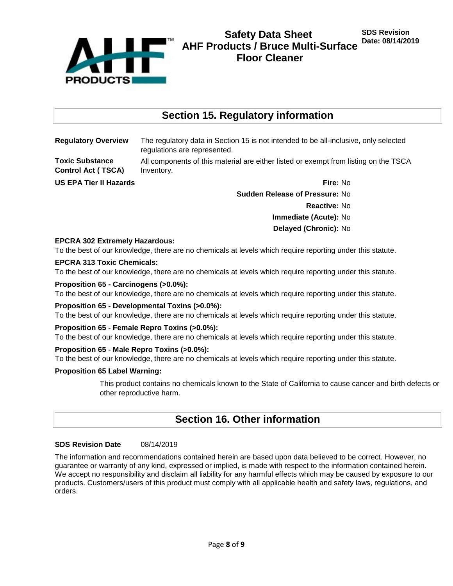

# **Section 15. Regulatory information**

**Toxic Substance Control Act ( TSCA)**

**Regulatory Overview** The regulatory data in Section 15 is not intended to be all-inclusive, only selected regulations are represented.

> All components of this material are either listed or exempt from listing on the TSCA Inventory.

**US EPA Tier II Hazards Fire:** No

**Sudden Release of Pressure:** No **Reactive:** No **Immediate (Acute):** No **Delayed (Chronic):** No

## **EPCRA 302 Extremely Hazardous:**

To the best of our knowledge, there are no chemicals at levels which require reporting under this statute.

### **EPCRA 313 Toxic Chemicals:**

To the best of our knowledge, there are no chemicals at levels which require reporting under this statute.

#### **Proposition 65 - Carcinogens (>0.0%):**

To the best of our knowledge, there are no chemicals at levels which require reporting under this statute.

#### **Proposition 65 - Developmental Toxins (>0.0%):**

To the best of our knowledge, there are no chemicals at levels which require reporting under this statute.

#### **Proposition 65 - Female Repro Toxins (>0.0%):**

To the best of our knowledge, there are no chemicals at levels which require reporting under this statute.

#### **Proposition 65 - Male Repro Toxins (>0.0%):**

To the best of our knowledge, there are no chemicals at levels which require reporting under this statute.

#### **Proposition 65 Label Warning:**

This product contains no chemicals known to the State of California to cause cancer and birth defects or other reproductive harm.

# **Section 16. Other information**

#### **SDS Revision Date** 08/14/2019

The information and recommendations contained herein are based upon data believed to be correct. However, no guarantee or warranty of any kind, expressed or implied, is made with respect to the information contained herein. We accept no responsibility and disclaim all liability for any harmful effects which may be caused by exposure to our products. Customers/users of this product must comply with all applicable health and safety laws, regulations, and orders.